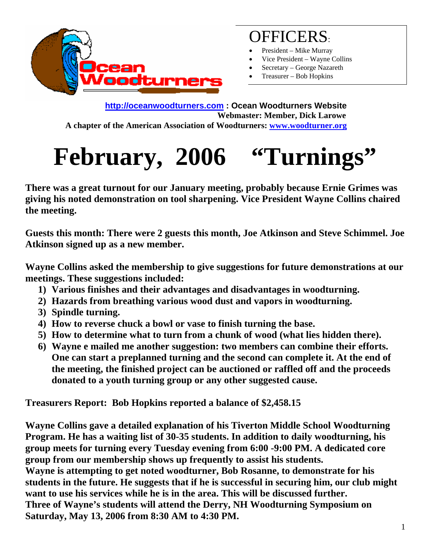

## OFFICERS:

- President Mike Murray
- Vice President Wayne Collins
- Secretary George Nazareth
- Treasurer Bob Hopkins

**[http://oceanwoodturners.com](http://oceanwoodturners.com/) : Ocean Woodturners Website Webmaster: Member, Dick Larowe A chapter of the American Association of Woodturners: [www.woodturner.org](http://www.woodturner.org/)** 

# **February, 2006 "Turnings"**

**There was a great turnout for our January meeting, probably because Ernie Grimes was giving his noted demonstration on tool sharpening. Vice President Wayne Collins chaired the meeting.** 

**Guests this month: There were 2 guests this month, Joe Atkinson and Steve Schimmel. Joe Atkinson signed up as a new member.** 

**Wayne Collins asked the membership to give suggestions for future demonstrations at our meetings. These suggestions included:** 

- **1) Various finishes and their advantages and disadvantages in woodturning.**
- **2) Hazards from breathing various wood dust and vapors in woodturning.**
- **3) Spindle turning.**
- **4) How to reverse chuck a bowl or vase to finish turning the base.**
- **5) How to determine what to turn from a chunk of wood (what lies hidden there).**
- **6) Wayne e mailed me another suggestion: two members can combine their efforts. One can start a preplanned turning and the second can complete it. At the end of the meeting, the finished project can be auctioned or raffled off and the proceeds donated to a youth turning group or any other suggested cause.**

**Treasurers Report: Bob Hopkins reported a balance of \$2,458.15** 

**Wayne Collins gave a detailed explanation of his Tiverton Middle School Woodturning Program. He has a waiting list of 30-35 students. In addition to daily woodturning, his group meets for turning every Tuesday evening from 6:00 -9:00 PM. A dedicated core group from our membership shows up frequently to assist his students.** 

**Wayne is attempting to get noted woodturner, Bob Rosanne, to demonstrate for his students in the future. He suggests that if he is successful in securing him, our club might want to use his services while he is in the area. This will be discussed further. Three of Wayne's students will attend the Derry, NH Woodturning Symposium on Saturday, May 13, 2006 from 8:30 AM to 4:30 PM.**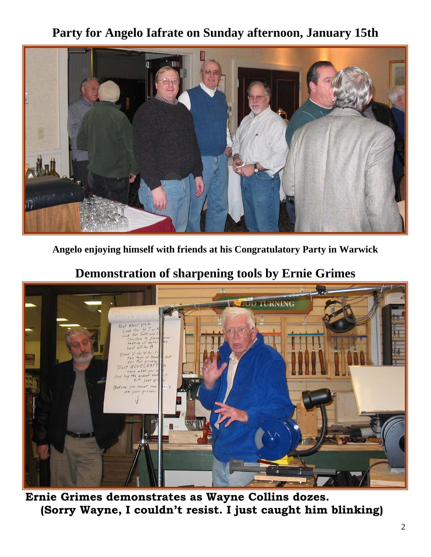#### **Party for Angelo Iafrate on Sunday afternoon, January 15th**



**Angelo enjoying himself with friends at his Congratulatory Party in Warwick** 

#### **Demonstration of sharpening tools by Ernie Grimes**



**Ernie Grimes demonstrates as Wayne Collins dozes. (Sorry Wayne, I couldn't resist. I just caught him blinking)**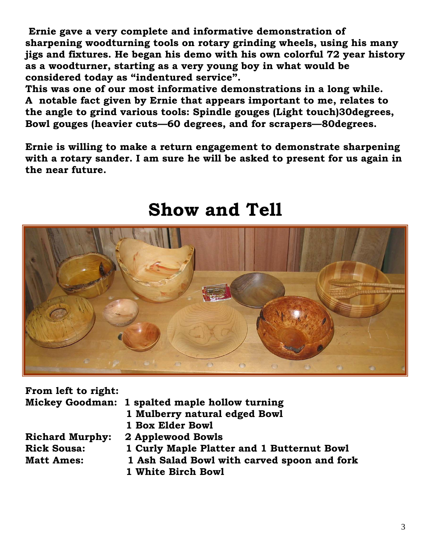**Ernie gave a very complete and informative demonstration of sharpening woodturning tools on rotary grinding wheels, using his many jigs and fixtures. He began his demo with his own colorful 72 year history as a woodturner, starting as a very young boy in what would be considered today as "indentured service".** 

**This was one of our most informative demonstrations in a long while. A notable fact given by Ernie that appears important to me, relates to the angle to grind various tools: Spindle gouges (Light touch)30degrees, Bowl gouges (heavier cuts—60 degrees, and for scrapers—80degrees.** 

**Ernie is willing to make a return engagement to demonstrate sharpening with a rotary sander. I am sure he will be asked to present for us again in the near future.** 



## **Show and Tell**

| From left to right:    |                                                |
|------------------------|------------------------------------------------|
|                        | Mickey Goodman: 1 spalted maple hollow turning |
|                        | 1 Mulberry natural edged Bowl                  |
|                        | 1 Box Elder Bowl                               |
| <b>Richard Murphy:</b> | 2 Applewood Bowls                              |
| <b>Rick Sousa:</b>     | 1 Curly Maple Platter and 1 Butternut Bowl     |
| <b>Matt Ames:</b>      | 1 Ash Salad Bowl with carved spoon and fork    |
|                        | 1 White Birch Bowl                             |
|                        |                                                |
|                        |                                                |